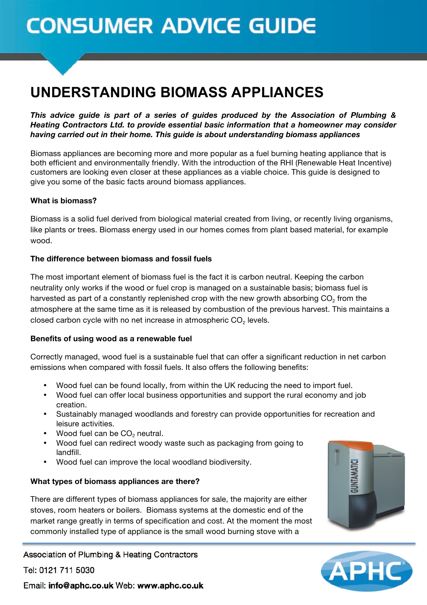# **CONSUMER ADVICE GUIDE**

# **UNDERSTANDING BIOMASS APPLIANCES**

*This advice guide is part of a series of guides produced by the Association of Plumbing & Heating Contractors Ltd. to provide essential basic information that a homeowner may consider having carried out in their home. This guide is about understanding biomass appliances*

Biomass appliances are becoming more and more popular as a fuel burning heating appliance that is both efficient and environmentally friendly. With the introduction of the RHI (Renewable Heat Incentive) customers are looking even closer at these appliances as a viable choice. This guide is designed to give you some of the basic facts around biomass appliances.

#### **What is biomass?**

Biomass is a solid fuel derived from biological material created from living, or recently living organisms, like plants or trees. Biomass energy used in our homes comes from plant based material, for example wood.

#### **The difference between biomass and fossil fuels**

The most important element of biomass fuel is the fact it is carbon neutral. Keeping the carbon neutrality only works if the wood or fuel crop is managed on a sustainable basis; biomass fuel is harvested as part of a constantly replenished crop with the new growth absorbing CO<sub>2</sub> from the atmosphere at the same time as it is released by combustion of the previous harvest. This maintains a closed carbon cycle with no net increase in atmospheric  $CO<sub>2</sub>$  levels.

#### **Benefits of using wood as a renewable fuel**

Correctly managed, wood fuel is a sustainable fuel that can offer a significant reduction in net carbon emissions when compared with fossil fuels. It also offers the following benefits:

- Wood fuel can be found locally, from within the UK reducing the need to import fuel.
- Wood fuel can offer local business opportunities and support the rural economy and job creation.
- Sustainably managed woodlands and forestry can provide opportunities for recreation and leisure activities.
- Wood fuel can be CO<sub>2</sub> neutral.
- Wood fuel can redirect woody waste such as packaging from going to landfill.
- Wood fuel can improve the local woodland biodiversity.

# **What types of biomass appliances are there?**

There are different types of biomass appliances for sale, the majority are either stoves, room heaters or boilers. Biomass systems at the domestic end of the market range greatly in terms of specification and cost. At the moment the most commonly installed type of appliance is the small wood burning stove with a

Association of Plumbing & Heating Contractors

Tel: 0121 711 5030





Email: info@aphc.co.uk Web: www.aphc.co.uk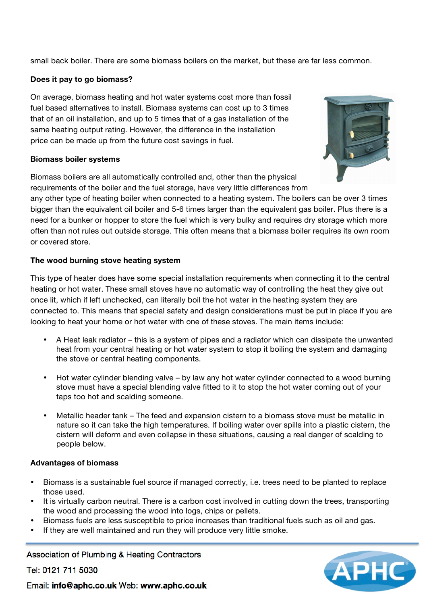small back boiler. There are some biomass boilers on the market, but these are far less common.

#### **Does it pay to go biomass?**

On average, biomass heating and hot water systems cost more than fossil fuel based alternatives to install. Biomass systems can cost up to 3 times that of an oil installation, and up to 5 times that of a gas installation of the same heating output rating. However, the difference in the installation price can be made up from the future cost savings in fuel.

#### **Biomass boiler systems**

Biomass boilers are all automatically controlled and, other than the physical requirements of the boiler and the fuel storage, have very little differences from

any other type of heating boiler when connected to a heating system. The boilers can be over 3 times bigger than the equivalent oil boiler and 5-6 times larger than the equivalent gas boiler. Plus there is a need for a bunker or hopper to store the fuel which is very bulky and requires dry storage which more often than not rules out outside storage. This often means that a biomass boiler requires its own room or covered store.

# **The wood burning stove heating system**

This type of heater does have some special installation requirements when connecting it to the central heating or hot water. These small stoves have no automatic way of controlling the heat they give out once lit, which if left unchecked, can literally boil the hot water in the heating system they are connected to. This means that special safety and design considerations must be put in place if you are looking to heat your home or hot water with one of these stoves. The main items include:

- A Heat leak radiator this is a system of pipes and a radiator which can dissipate the unwanted heat from your central heating or hot water system to stop it boiling the system and damaging the stove or central heating components.
- Hot water cylinder blending valve by law any hot water cylinder connected to a wood burning stove must have a special blending valve fitted to it to stop the hot water coming out of your taps too hot and scalding someone.
- Metallic header tank The feed and expansion cistern to a biomass stove must be metallic in nature so it can take the high temperatures. If boiling water over spills into a plastic cistern, the cistern will deform and even collapse in these situations, causing a real danger of scalding to people below.

# **Advantages of biomass**

- Biomass is a sustainable fuel source if managed correctly, i.e. trees need to be planted to replace those used.
- It is virtually carbon neutral. There is a carbon cost involved in cutting down the trees, transporting the wood and processing the wood into logs, chips or pellets.
- Biomass fuels are less susceptible to price increases than traditional fuels such as oil and gas.
- If they are well maintained and run they will produce very little smoke.

Association of Plumbing & Heating Contractors

Tel: 0121 711 5030